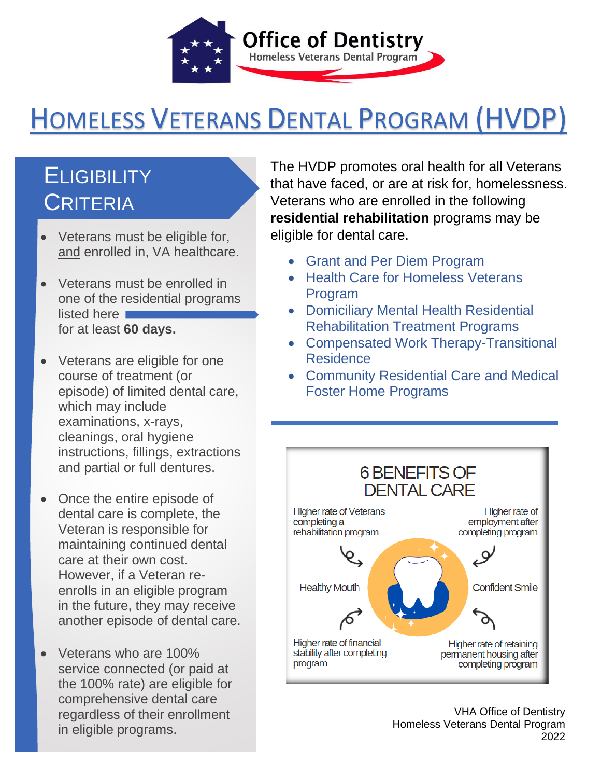

# HOMELESS VETERANS DENTAL PROGRAM (HVDP)

## **ELIGIBILITY CRITERIA**

- Veterans must be eligible for, and enrolled in, VA healthcare.
- Veterans must be enrolled in one of the residential programs listed here for at least **60 days.**
- Veterans are eligible for one course of treatment (or episode) of limited dental care, which may include examinations, x-rays, cleanings, oral hygiene instructions, fillings, extractions and partial or full dentures.
- Once the entire episode of dental care is complete, the Veteran is responsible for maintaining continued dental care at their own cost. However, if a Veteran reenrolls in an eligible program in the future, they may receive another episode of dental care.
- Veterans who are 100% service connected (or paid at the 100% rate) are eligible for comprehensive dental care regardless of their enrollment in eligible programs.

 The HVDP promotes oral health for all Veterans that have faced, or are at risk for, homelessness. eligible for dental care. Veterans who are enrolled in the following **residential rehabilitation** programs may be

- • Grant and Per Diem Program
- Health Care for Homeless Veterans Program
- • Domiciliary Mental Health Residential Rehabilitation Treatment Programs
- • Compensated Work Therapy-Transitional Residence
- • Community Residential Care and Medical Foster Home Programs



 VHA Office of Dentistry Homeless Veterans Dental Program 2022